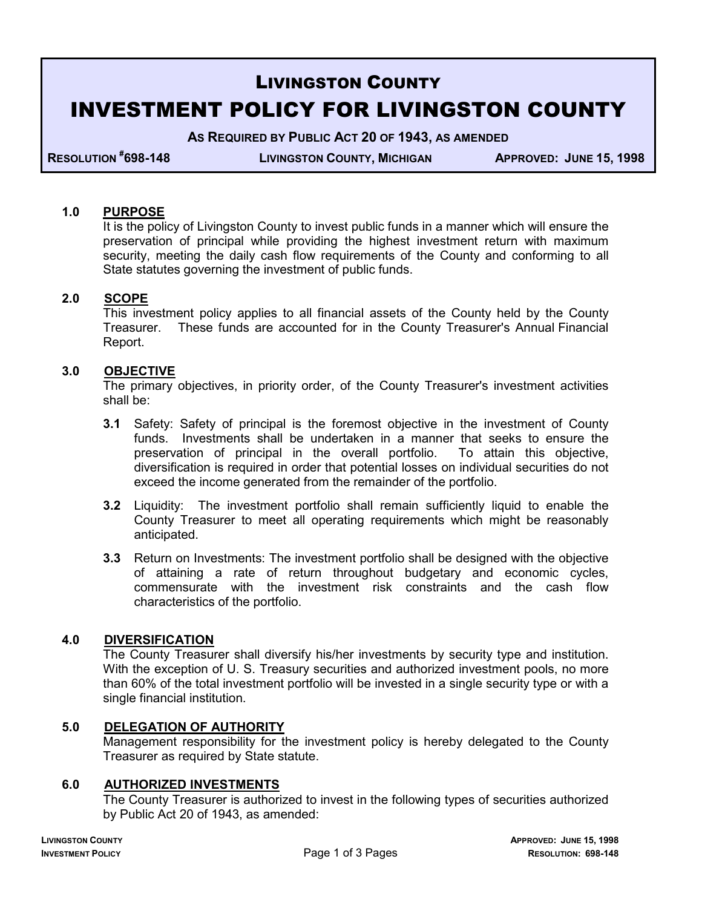# LIVINGSTON COUNTY INVESTMENT POLICY FOR LIVINGSTON COUNTY

**AS REQUIRED BY PUBLIC ACT 20 OF 1943, AS AMENDED**

**RESOLUTION #**

**698-148 LIVINGSTON COUNTY, MICHIGAN APPROVED: JUNE 15, 1998**

## **1.0 PURPOSE**

 It is the policy of Livingston County to invest public funds in a manner which will ensure the preservation of principal while providing the highest investment return with maximum security, meeting the daily cash flow requirements of the County and conforming to all State statutes governing the investment of public funds.

## **2.0 SCOPE**

 This investment policy applies to all financial assets of the County held by the County Treasurer. These funds are accounted for in the County Treasurer's Annual Financial Report.

## **3.0 OBJECTIVE**

 The primary objectives, in priority order, of the County Treasurer's investment activities shall be:

- **3.1** Safety: Safety of principal is the foremost objective in the investment of County funds. Investments shall be undertaken in a manner that seeks to ensure the preservation of principal in the overall portfolio. To attain this objective, diversification is required in order that potential losses on individual securities do not exceed the income generated from the remainder of the portfolio.
- **3.2** Liquidity: The investment portfolio shall remain sufficiently liquid to enable the County Treasurer to meet all operating requirements which might be reasonably anticipated.
- **3.3** Return on Investments: The investment portfolio shall be designed with the objective of attaining a rate of return throughout budgetary and economic cycles, commensurate with the investment risk constraints and the cash flow characteristics of the portfolio.

#### **4.0 DIVERSIFICATION**

 The County Treasurer shall diversify his/her investments by security type and institution. With the exception of U. S. Treasury securities and authorized investment pools, no more than 60% of the total investment portfolio will be invested in a single security type or with a single financial institution.

#### **5.0 DELEGATION OF AUTHORITY**

 Management responsibility for the investment policy is hereby delegated to the County Treasurer as required by State statute.

#### **6.0 AUTHORIZED INVESTMENTS**

 The County Treasurer is authorized to invest in the following types of securities authorized by Public Act 20 of 1943, as amended: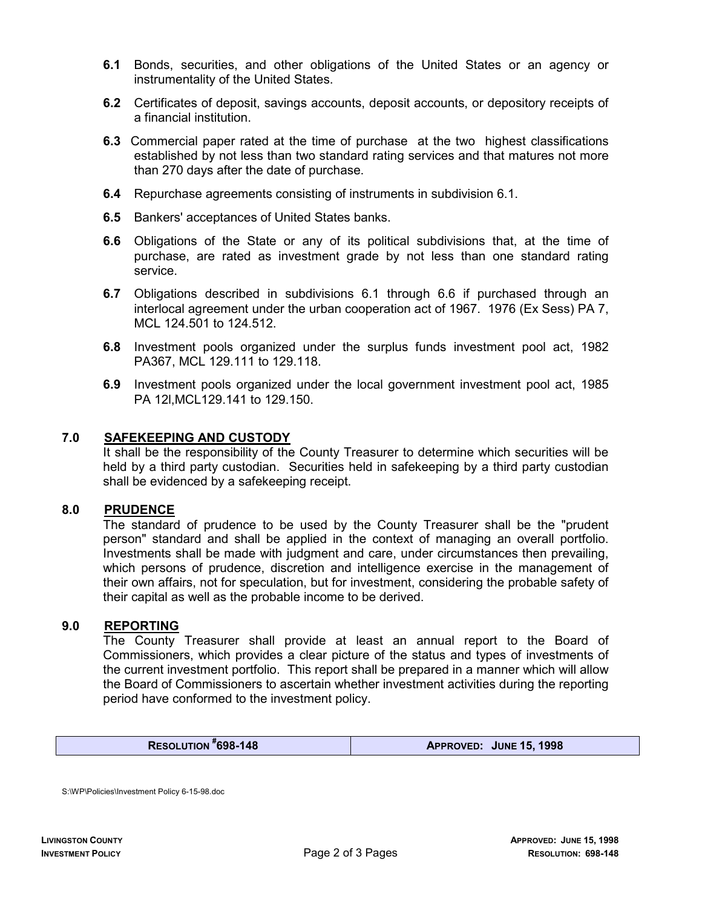- **6.1** Bonds, securities, and other obligations of the United States or an agency or instrumentality of the United States.
- **6.2** Certificates of deposit, savings accounts, deposit accounts, or depository receipts of a financial institution.
- **6.3** Commercial paper rated at the time of purchase at the two highest classifications established by not less than two standard rating services and that matures not more than 270 days after the date of purchase.
- **6.4** Repurchase agreements consisting of instruments in subdivision 6.1.
- **6.5** Bankers' acceptances of United States banks.
- **6.6** Obligations of the State or any of its political subdivisions that, at the time of purchase, are rated as investment grade by not less than one standard rating service.
- **6.7** Obligations described in subdivisions 6.1 through 6.6 if purchased through an interlocal agreement under the urban cooperation act of 1967. 1976 (Ex Sess) PA 7, MCL 124.501 to 124.512.
- **6.8** Investment pools organized under the surplus funds investment pool act, 1982 PA367, MCL 129.111 to 129.118.
- **6.9** Investment pools organized under the local government investment pool act, 1985 PA 12l,MCL129.141 to 129.150.

## **7.0 SAFEKEEPING AND CUSTODY**

 It shall be the responsibility of the County Treasurer to determine which securities will be held by a third party custodian. Securities held in safekeeping by a third party custodian shall be evidenced by a safekeeping receipt.

#### **8.0 PRUDENCE**

 The standard of prudence to be used by the County Treasurer shall be the "prudent person" standard and shall be applied in the context of managing an overall portfolio. Investments shall be made with judgment and care, under circumstances then prevailing, which persons of prudence, discretion and intelligence exercise in the management of their own affairs, not for speculation, but for investment, considering the probable safety of their capital as well as the probable income to be derived.

# **9.0 REPORTING**

 The County Treasurer shall provide at least an annual report to the Board of Commissioners, which provides a clear picture of the status and types of investments of the current investment portfolio. This report shall be prepared in a manner which will allow the Board of Commissioners to ascertain whether investment activities during the reporting period have conformed to the investment policy.

**RESOLUTION #**

**698-148 APPROVED: JUNE 15, 1998**

S:\WP\Policies\Investment Policy 6-15-98.doc